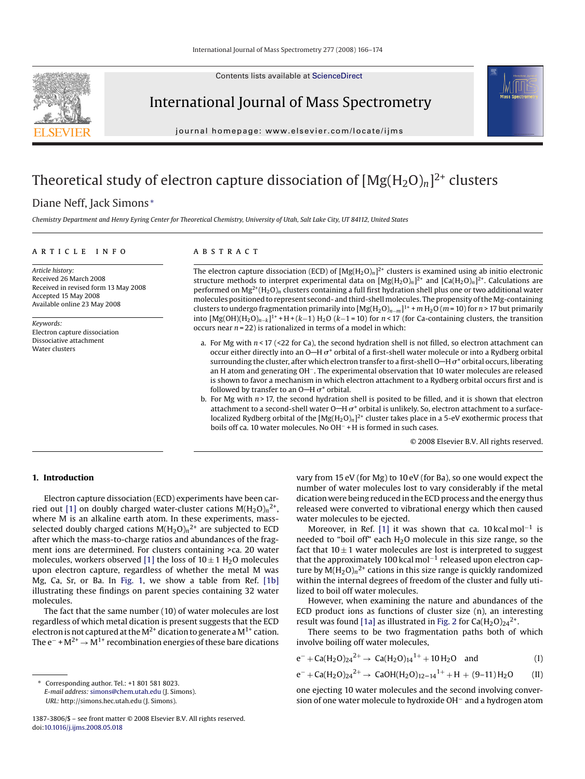Contents lists available at [ScienceDirect](http://www.sciencedirect.com/science/journal/13873806)



International Journal of Mass Spectrometry

journal homepage: www.elsevier.com/locate/ijms

# Theoretical study of electron capture dissociation of  $[Mg(H_2O)_n]^2$ <sup>+</sup> clusters

# Diane Neff, Jack Simons <sup>∗</sup>

*Chemistry Department and Henry Eyring Center for Theoretical Chemistry, University of Utah, Salt Lake City, UT 84112, United States*

#### article info

*Article history:* Received 26 March 2008 Received in revised form 13 May 2008 Accepted 15 May 2008 Available online 23 May 2008

*Keywords:* Electron capture dissociation Dissociative attachment Water clusters

# **ABSTRACT**

The electron capture dissociation (ECD) of  $[Mg(H_2O)_n]^2$ <sup>+</sup> clusters is examined using ab initio electronic structure methods to interpret experimental data on  $[Mg(H_2O)_n]^2$ <sup>+</sup> and  $[Ca(H_2O)_n]^2$ <sup>+</sup>. Calculations are performed on Mg2+(H2O)*<sup>n</sup>* clusters containing a full first hydration shell plus one or two additional water molecules positioned to represent second- and third-shell molecules. The propensity of theMg-containing clusters to undergo fragmentation primarily into [Mg(H2O)*<sup>n</sup>*−*<sup>m</sup>*]1+ <sup>+</sup> *<sup>m</sup>* H2O (*<sup>m</sup>* = 10) for *<sup>n</sup>* > 17 but primarily into [Mg(OH)(H2O)*<sup>n</sup>*−*<sup>k</sup>*]1+ +H+(*k*−1) H2O (*k*−1 = 10) for *<sup>n</sup>* < 17 (for Ca-containing clusters, the transition occurs near *n* = 22) is rationalized in terms of a model in which:

- a. For Mg with *n* < 17 (<22 for Ca), the second hydration shell is not filled, so electron attachment can occur either directly into an O—H  $\sigma^*$  orbital of a first-shell water molecule or into a Rydberg orbital surrounding the cluster, after which electron transfer to a first-shell O—H  $\sigma^*$  orbital occurs, liberating an H atom and generating OH−. The experimental observation that 10 water molecules are released is shown to favor a mechanism in which electron attachment to a Rydberg orbital occurs first and is followed by transfer to an O—H  $\sigma^*$  orbital.
- b. For Mg with *n* > 17, the second hydration shell is posited to be filled, and it is shown that electron attachment to a second-shell water  $O-H \sigma^*$  orbital is unlikely. So, electron attachment to a surfacelocalized Rydberg orbital of the  $[Mg(H_2O)_n]^2$ <sup>+</sup> cluster takes place in a 5-eV exothermic process that boils off ca. 10 water molecules. No OH<sup>−</sup> + H is formed in such cases.

© 2008 Elsevier B.V. All rights reserved.

# **1. Introduction**

Electron capture dissociation (ECD) experiments have been car-ried out [\[1\]](#page-7-0) on doubly charged water-cluster cations  $M(H_2O)<sub>n</sub>^{2+}$ , where M is an alkaline earth atom. In these experiments, massselected doubly charged cations  $M(H_2O)<sub>n</sub>^{2+}$  are subjected to ECD after which the mass-to-charge ratios and abundances of the fragment ions are determined. For clusters containing >ca. 20 water molecules, workers observed [\[1\]](#page-7-0) the loss of  $10 \pm 1$  H<sub>2</sub>O molecules upon electron capture, regardless of whether the metal M was Mg, Ca, Sr, or Ba. In [Fig. 1,](#page-1-0) we show a table from Ref. [\[1b\]](#page-7-0) illustrating these findings on parent species containing 32 water molecules.

The fact that the same number (10) of water molecules are lost regardless of which metal dication is present suggests that the ECD electron is not captured at the  $M^{2+}$  dication to generate a  $M^{1+}$  cation. The  $e^-$  +  $M^{2+}$  →  $M^{1+}$  recombination energies of these bare dications vary from 15 eV (for Mg) to 10 eV (for Ba), so one would expect the number of water molecules lost to vary considerably if the metal dication were being reduced in the ECD process and the energy thus released were converted to vibrational energy which then caused water molecules to be ejected.

Moreover, in Ref. [\[1\]](#page-7-0) it was shown that ca. 10 kcal mol<sup>-1</sup> is needed to "boil off" each  $H<sub>2</sub>O$  molecule in this size range, so the fact that  $10 \pm 1$  water molecules are lost is interpreted to suggest that the approximately 100 kcal mol−<sup>1</sup> released upon electron capture by  $M(H_2O)<sub>n</sub><sup>2+</sup>$  cations in this size range is quickly randomized within the internal degrees of freedom of the cluster and fully utilized to boil off water molecules.

However, when examining the nature and abundances of the ECD product ions as functions of cluster size (n), an interesting result was found [\[1a\]](#page-7-0) as illustrated in [Fig. 2](#page-1-0) for  $Ca(H<sub>2</sub>O)<sub>24</sub><sup>2+</sup>$ .

There seems to be two fragmentation paths both of which involve boiling off water molecules,

$$
e^- + Ca(H_2O)_{24}^{2+} \rightarrow Ca(H_2O)_{14}^{1+} + 10H_2O \quad \text{and} \tag{I}
$$

$$
e^- + Ca(H_2O)_{24}^{2+} \rightarrow CaOH(H_2O)_{12-14}^{1+} + H + (9-11)H_2O
$$
 (II)

one ejecting 10 water molecules and the second involving conversion of one water molecule to hydroxide OH− and a hydrogen atom

<sup>∗</sup> Corresponding author. Tel.: +1 801 581 8023. *E-mail address:* [simons@chem.utah.edu](mailto:simons@chem.utah.edu) (J. Simons). *URL:* http://simons.hec.utah.edu (J. Simons).

<sup>1387-3806/\$ –</sup> see front matter © 2008 Elsevier B.V. All rights reserved. doi:[10.1016/j.ijms.2008.05.018](dx.doi.org/10.1016/j.ijms.2008.05.018)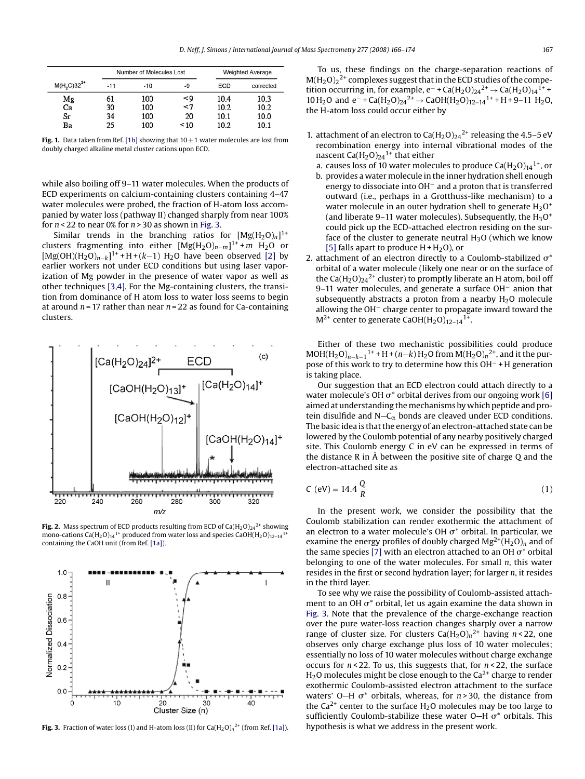<span id="page-1-0"></span>

|              |       | Number of Molecules Lost |           |      | <b>Weighted Average</b> |  |
|--------------|-------|--------------------------|-----------|------|-------------------------|--|
| $M(H2O)322+$ | $-11$ | $-10$                    | -9        | ECD  | corrected               |  |
| Mg           | 61    | 100                      | <9        | 10.4 | 10.3                    |  |
| Ca           | 30    | 100                      | $\prec$ 7 | 10.2 | 10.2                    |  |
| Sг           | 34    | 100                      | 20        | 10.1 | 10.0                    |  |
| Bа           | 25    | 100                      | ~10       | 10.2 | 10 1                    |  |

**Fig. 1.** Data taken from Ref. [\[1b\]](#page-7-0) showing that  $10 \pm 1$  water molecules are lost from doubly charged alkaline metal cluster cations upon ECD.

while also boiling off 9–11 water molecules. When the products of ECD experiments on calcium-containing clusters containing 4–47 water molecules were probed, the fraction of H-atom loss accompanied by water loss (pathway II) changed sharply from near 100% for *n* < 22 to near 0% for *n* > 30 as shown in Fig. 3.

Similar trends in the branching ratios for  $[Mg(H_2O)_n]^{1+}$ clusters fragmenting into either [Mg(H2O)*<sup>n</sup>*−*<sup>m</sup>*]1+ <sup>+</sup> *<sup>m</sup>* H2O or [Mg(OH)(H<sub>2</sub>O)<sub>n−k</sub>]<sup>1+</sup> +H+(k−1) H<sub>2</sub>O have been observed [\[2\]](#page-7-0) by earlier workers not under ECD conditions but using laser vaporization of Mg powder in the presence of water vapor as well as other techniques [\[3,4\]. F](#page-7-0)or the Mg-containing clusters, the transition from dominance of H atom loss to water loss seems to begin at around *n* = 17 rather than near *n* = 22 as found for Ca-containing clusters.



**Fig. 2.** Mass spectrum of ECD products resulting from ECD of  $Ca(H_2O)_{24}^{2+}$  showing mono-cations Ca(H<sub>2</sub>O)<sub>14</sub><sup>1+</sup> produced from water loss and species CaOH(H<sub>2</sub>O)<sub>12-14</sub><sup>1</sup> containing the CaOH unit (from Ref. [\[1a\]\).](#page-7-0)



**Fig. 3.** Fraction of water loss (I) and H-atom loss (II) for  $\text{Ca}(\text{H}_{2}\text{O})_{n}^{2+}$  (from Ref. [\[1a\]\).](#page-7-0)

To us, these findings on the charge-separation reactions of  $M(H_2O)_2^2$ <sup>+</sup> complexes suggest that in the ECD studies of the competition occurring in, for example, e<sup>-</sup> + Ca(H<sub>2</sub>O)<sub>24</sub><sup>2+</sup> → Ca(H<sub>2</sub>O)<sub>14</sub><sup>1+</sup> + 10 H<sub>2</sub>O and e<sup>-</sup> + Ca(H<sub>2</sub>O)<sub>24</sub><sup>2+</sup> → CaOH(H<sub>2</sub>O)<sub>12–14</sub><sup>1+</sup> + H + 9–11 H<sub>2</sub>O, the H-atom loss could occur either by

- 1. attachment of an electron to  $Ca(H<sub>2</sub>O)<sub>24</sub><sup>2+</sup>$  releasing the 4.5–5 eV recombination energy into internal vibrational modes of the nascent  $Ca(H<sub>2</sub>O)<sub>24</sub><sup>1+</sup>$  that either
	- a. causes loss of 10 water molecules to produce  $Ca(H<sub>2</sub>O)<sub>14</sub>$ <sup>1+</sup>, or b. provides a water molecule in the inner hydration shell enough energy to dissociate into OH− and a proton that is transferred outward (i.e., perhaps in a Grotthuss-like mechanism) to a water molecule in an outer hydration shell to generate  $H_3O^+$ (and liberate 9–11 water molecules). Subsequently, the  $H_3O^+$ could pick up the ECD-attached electron residing on the surface of the cluster to generate neutral  $H_3O$  (which we know [\[5\]](#page-7-0) falls apart to produce  $H + H<sub>2</sub>O$ ), or
- 2. attachment of an electron directly to a Coulomb-stabilized  $\sigma^*$ orbital of a water molecule (likely one near or on the surface of the Ca( $H_2O$ )<sub>24</sub><sup>2+</sup> cluster) to promptly liberate an H atom, boil off 9–11 water molecules, and generate a surface OH<sup>-</sup> anion that subsequently abstracts a proton from a nearby  $H_2O$  molecule allowing the OH− charge center to propagate inward toward the  $M^{2+}$  center to generate CaOH(H<sub>2</sub>O)<sub>12-14</sub><sup>1+</sup>.

Either of these two mechanistic possibilities could produce MOH(H<sub>2</sub>O)<sub>*n*−*k*−1</sub><sup>1+</sup> +H + (*n*−*k*) H<sub>2</sub>O from M(H<sub>2</sub>O)<sub>*n*</sub><sup>2+</sup>, and it the purpose of this work to try to determine how this OH− + H generation is taking place.

Our suggestion that an ECD electron could attach directly to a water molecule's OH  $\sigma^*$  orbital derives from our ongoing work [\[6\]](#page-7-0) aimed at understanding themechanisms by which peptide and protein disulfide and N- $C_{\alpha}$  bonds are cleaved under ECD conditions. The basic idea is that the energy of an electron-attached state can be lowered by the Coulomb potential of any nearby positively charged site. This Coulomb energy C in eV can be expressed in terms of the distance R in  $\AA$  between the positive site of charge Q and the electron-attached site as

$$
C (eV) = 14.4 \frac{Q}{R}
$$
 (1)

In the present work, we consider the possibility that the Coulomb stabilization can render exothermic the attachment of an electron to a water molecule's OH  $\sigma^*$  orbital. In particular, we examine the energy profiles of doubly charged  $Mg^{2+}(H_2O)_n$  and of the same species [\[7\]](#page-7-0) with an electron attached to an OH  $\sigma^*$  orbital belonging to one of the water molecules. For small *n*, this water resides in the first or second hydration layer; for larger *n*, it resides in the third layer.

To see why we raise the possibility of Coulomb-assisted attachment to an OH  $\sigma^*$  orbital, let us again examine the data shown in Fig. 3. Note that the prevalence of the charge-exchange reaction over the pure water-loss reaction changes sharply over a narrow range of cluster size. For clusters  $Ca(H_2O)<sub>n</sub><sup>2+</sup>$  having  $n < 22$ , one observes only charge exchange plus loss of 10 water molecules; essentially no loss of 10 water molecules without charge exchange occurs for *n* < 22. To us, this suggests that, for *n* < 22, the surface  $H<sub>2</sub>O$  molecules might be close enough to the Ca<sup>2+</sup> charge to render exothermic Coulomb-assisted electron attachment to the surface waters'  $0$ —H  $\sigma^*$  orbitals, whereas, for  $n > 30$ , the distance from the Ca<sup>2+</sup> center to the surface H<sub>2</sub>O molecules may be too large to sufficiently Coulomb-stabilize these water O–H  $\sigma^*$  orbitals. This hypothesis is what we address in the present work.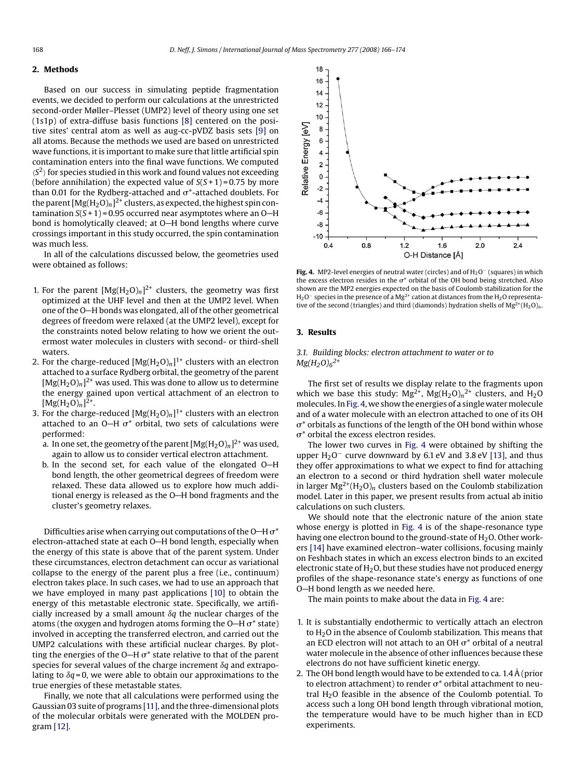#### <span id="page-2-0"></span>**2. Methods**

Based on our success in simulating peptide fragmentation events, we decided to perform our calculations at the unrestricted second-order Møller–Plesset (UMP2) level of theory using one set (1s1p) of extra-diffuse basis functions [\[8\]](#page-7-0) centered on the positive sites' central atom as well as aug-cc-pVDZ basis sets [\[9\]](#page-7-0) on all atoms. Because the methods we used are based on unrestricted wave functions, it is important to make sure that little artificial spin contamination enters into the final wave functions. We computed  $\langle S^2 \rangle$  for species studied in this work and found values not exceeding (before annihilation) the expected value of  $S(S+1) = 0.75$  by more than 0.01 for the Rydberg-attached and  $\sigma^*$ -attached doublets. For the parent  $[Mg(H_2O)_n]^2$ <sup>+</sup> clusters, as expected, the highest spin contamination  $S(S+1)$  = 0.95 occurred near asymptotes where an O-H bond is homolytically cleaved; at O-H bond lengths where curve crossings important in this study occurred, the spin contamination was much less.

In all of the calculations discussed below, the geometries used were obtained as follows:

- 1. For the parent  $[Mg(H_2O)_n]^2$ <sup>+</sup> clusters, the geometry was first optimized at the UHF level and then at the UMP2 level. When one of the O-H bonds was elongated, all of the other geometrical degrees of freedom were relaxed (at the UMP2 level), except for the constraints noted below relating to how we orient the outermost water molecules in clusters with second- or third-shell waters.
- 2. For the charge-reduced  $[Mg(H_2O)_n]^{1+}$  clusters with an electron attached to a surface Rydberg orbital, the geometry of the parent  $[Mg(H_2O)_n]^2$ <sup>+</sup> was used. This was done to allow us to determine the energy gained upon vertical attachment of an electron to  $[Mg(H_2O)_n]^{2+}.$
- 3. For the charge-reduced  $[Mg(H_2O)_n]^{1+}$  clusters with an electron attached to an O—H  $\sigma^*$  orbital, two sets of calculations were performed:
	- a. In one set, the geometry of the parent  $[Mg(H_2O)_n]^2$ <sup>+</sup> was used, again to allow us to consider vertical electron attachment.
	- b. In the second set, for each value of the elongated  $O-H$ bond length, the other geometrical degrees of freedom were relaxed. These data allowed us to explore how much additional energy is released as the  $O-H$  bond fragments and the cluster's geometry relaxes.

Difficulties arise when carrying out computations of the O–H  $\sigma^*$ electron-attached state at each O-H bond length, especially when the energy of this state is above that of the parent system. Under these circumstances, electron detachment can occur as variational collapse to the energy of the parent plus a free (i.e., continuum) electron takes place. In such cases, we had to use an approach that we have employed in many past applications [\[10\]](#page-7-0) to obtain the energy of this metastable electronic state. Specifically, we artificially increased by a small amount  $\delta q$  the nuclear charges of the atoms (the oxygen and hydrogen atoms forming the O–H  $\sigma^*$  state) involved in accepting the transferred electron, and carried out the UMP2 calculations with these artificial nuclear charges. By plotting the energies of the O—H  $\sigma^*$  state relative to that of the parent species for several values of the charge increment  $\delta q$  and extrapolating to  $\delta q$  = 0, we were able to obtain our approximations to the true energies of these metastable states.

Finally, we note that all calculations were performed using the Gaussian 03 suite of programs [\[11\], a](#page-7-0)nd the three-dimensional plots of the molecular orbitals were generated with the MOLDEN program [\[12\].](#page-7-0)



**Fig. 4.** MP2-level energies of neutral water (circles) and of H<sub>2</sub>O<sup>−</sup> (squares) in which the excess electron resides in the  $\sigma^*$  orbital of the OH bond being stretched. Also shown are the MP2 energies expected on the basis of Coulomb stabilization for the H<sub>2</sub>O<sup>−</sup> species in the presence of a Mg<sup>2+</sup> cation at distances from the H<sub>2</sub>O representative of the second (triangles) and third (diamonds) hydration shells of  $Mg^{2+}(H_2O)_n$ .

#### **3. Results**

*3.1. Building blocks: electron attachment to water or to Mg(H2O)6 2+*

The first set of results we display relate to the fragments upon which we base this study:  $Mg^{2+}$ ,  $Mg(H_2O)_n^{2+}$  clusters, and  $H_2O$ molecules. In Fig. 4, we show the energies of a single water molecule and of a water molecule with an electron attached to one of its OH  $\sigma^*$  orbitals as functions of the length of the OH bond within whose  $\sigma^*$  orbital the excess electron resides.

The lower two curves in Fig. 4 were obtained by shifting the upper H<sub>2</sub>O<sup>-</sup> curve downward by 6.1 eV and 3.8 eV [\[13\],](#page-7-0) and thus they offer approximations to what we expect to find for attaching an electron to a second or third hydration shell water molecule in larger  $Mg^{2+}(H_2O)_n$  clusters based on the Coulomb stabilization model. Later in this paper, we present results from actual ab initio calculations on such clusters.

We should note that the electronic nature of the anion state whose energy is plotted in Fig. 4 is of the shape-resonance type having one electron bound to the ground-state of  $H_2O$ . Other workers [\[14\]](#page-7-0) have examined electron–water collisions, focusing mainly on Feshbach states in which an excess electron binds to an excited electronic state of  $H_2O$ , but these studies have not produced energy profiles of the shape-resonance state's energy as functions of one O-H bond length as we needed here.

The main points to make about the data in Fig. 4 are:

- 1. It is substantially endothermic to vertically attach an electron to  $H<sub>2</sub>O$  in the absence of Coulomb stabilization. This means that an ECD electron will not attach to an OH  $\sigma^*$  orbital of a neutral water molecule in the absence of other influences because these electrons do not have sufficient kinetic energy.
- 2. The OH bond length would have to be extended to ca. 1.4  $\AA$  (prior to electron attachment) to render  $\sigma^*$  orbital attachment to neutral H<sub>2</sub>O feasible in the absence of the Coulomb potential. To access such a long OH bond length through vibrational motion, the temperature would have to be much higher than in ECD experiments.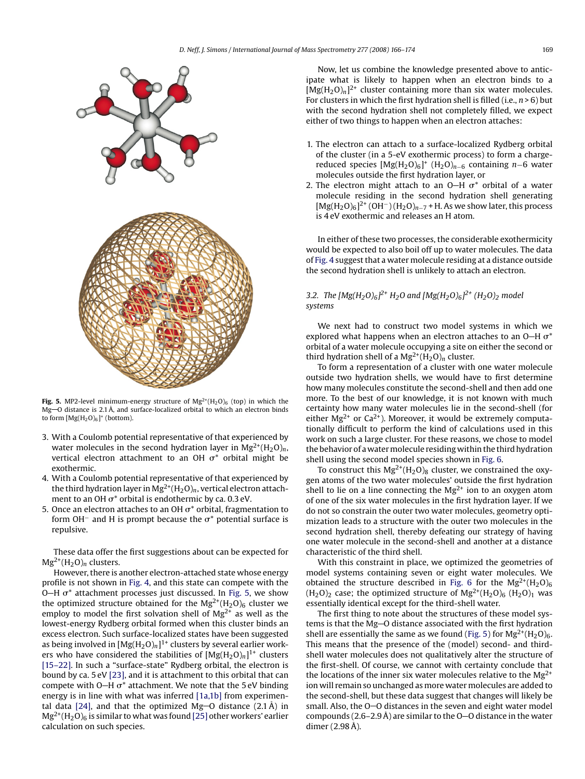<span id="page-3-0"></span>

**Fig. 5.** MP2-level minimum-energy structure of  $Mg^{2+}(H_2O)_6$  (top) in which the Mg-O distance is 2.1 Å, and surface-localized orbital to which an electron binds to form  $[Mg(H_2O)_6]^*$  (bottom).

- 3. With a Coulomb potential representative of that experienced by water molecules in the second hydration layer in  $Mg^{2+}(H_2O)_n$ , vertical electron attachment to an OH  $\sigma^*$  orbital might be exothermic.
- 4. With a Coulomb potential representative of that experienced by the third hydration layer in Mg<sup>2+</sup>(H<sub>2</sub>O)<sub>n</sub>, vertical electron attachment to an OH  $\sigma^*$  orbital is endothermic by ca. 0.3 eV.
- 5. Once an electron attaches to an OH  $\sigma^*$  orbital, fragmentation to form OH<sup>-</sup> and H is prompt because the  $\sigma^*$  potential surface is repulsive.

These data offer the first suggestions about can be expected for  $Mg^{2+}(H_2O)_n$  clusters.

However, there is another electron-attached state whose energy profile is not shown in [Fig. 4,](#page-2-0) and this state can compete with the O—H  $\sigma^*$  attachment processes just discussed. In Fig. 5, we show the optimized structure obtained for the  $Mg^{2+}(H_2O)_6$  cluster we employ to model the first solvation shell of  $Mg^{2+}$  as well as the lowest-energy Rydberg orbital formed when this cluster binds an excess electron. Such surface-localized states have been suggested as being involved in  $[Mg(H_2O)_n]^{1+}$  clusters by several earlier workers who have considered the stabilities of  $[Mg(H_2O)_n]^{1+}$  clusters [\[15–22\]. I](#page-7-0)n such a "surface-state" Rydberg orbital, the electron is bound by ca. 5 eV [\[23\], a](#page-7-0)nd it is attachment to this orbital that can compete with O–H  $\sigma^*$  attachment. We note that the 5 eV binding energy is in line with what was inferred [\[1a,1b\]](#page-7-0) from experimen-tal data [\[24\],](#page-7-0) and that the optimized Mg-O distance  $(2.1 \text{ Å})$  in  $Mg^{2+}(H_2O)_6$  is similar to what was found [\[25\]](#page-7-0) other workers' earlier calculation on such species.

Now, let us combine the knowledge presented above to anticipate what is likely to happen when an electron binds to a  $[\text{Mg}(H_2O)_n]^2$ <sup>+</sup> cluster containing more than six water molecules. For clusters in which the first hydration shell is filled (i.e., *n* > 6) but with the second hydration shell not completely filled, we expect either of two things to happen when an electron attaches:

- 1. The electron can attach to a surface-localized Rydberg orbital of the cluster (in a 5-eV exothermic process) to form a chargereduced species [Mg(H2O)6]+ (H2O)*<sup>n</sup>*−<sup>6</sup> containing *<sup>n</sup>*−6 water molecules outside the first hydration layer, or
- 2. The electron might attach to an O–H  $\sigma^*$  orbital of a water molecule residing in the second hydration shell generating  $[Mg(H_2O)_6]^{2+}$  (OH<sup>-</sup>) (H<sub>2</sub>O)<sub>n−7</sub> + H. As we show later, this process is 4 eV exothermic and releases an H atom.

In either of these two processes, the considerable exothermicity would be expected to also boil off up to water molecules. The data of [Fig. 4](#page-2-0) suggest that a water molecule residing at a distance outside the second hydration shell is unlikely to attach an electron.

### *3.2. The [Mg(H2O)6] 2+ H2O and [Mg(H2O)6] 2+ (H2O)2 model systems*

We next had to construct two model systems in which we explored what happens when an electron attaches to an O–H  $\sigma^*$ orbital of a water molecule occupying a site on either the second or third hydration shell of a  $Mg^{2+}(H_2O)_n$  cluster.

To form a representation of a cluster with one water molecule outside two hydration shells, we would have to first determine how many molecules constitute the second-shell and then add one more. To the best of our knowledge, it is not known with much certainty how many water molecules lie in the second-shell (for either  $Mg^{2+}$  or Ca<sup>2+</sup>). Moreover, it would be extremely computationally difficult to perform the kind of calculations used in this work on such a large cluster. For these reasons, we chose to model the behavior of a water molecule residing within the third hydration shell using the second model species shown in [Fig. 6.](#page-4-0)

To construct this  $Mg^{2+}(H_2O)_8$  cluster, we constrained the oxygen atoms of the two water molecules' outside the first hydration shell to lie on a line connecting the  $Mg^{2+}$  ion to an oxygen atom of one of the six water molecules in the first hydration layer. If we do not so constrain the outer two water molecules, geometry optimization leads to a structure with the outer two molecules in the second hydration shell, thereby defeating our strategy of having one water molecule in the second-shell and another at a distance characteristic of the third shell.

With this constraint in place, we optimized the geometries of model systems containing seven or eight water molecules. We obtained the structure described in [Fig. 6](#page-4-0) for the  $Mg^{2+}(H_2O)_6$  $(H<sub>2</sub>O)<sub>2</sub>$  case; the optimized structure of  $Mg<sup>2+</sup>(H<sub>2</sub>O)<sub>6</sub>$  (H<sub>2</sub>O)<sub>1</sub> was essentially identical except for the third-shell water.

The first thing to note about the structures of these model systems is that the Mg-O distance associated with the first hydration shell are essentially the same as we found (Fig. 5) for  $Mg^{2+}(H_2O)_6$ . This means that the presence of the (model) second- and thirdshell water molecules does not qualitatively alter the structure of the first-shell. Of course, we cannot with certainty conclude that the locations of the inner six water molecules relative to the  $Mg^{2+}$ ion will remain so unchanged as more water molecules are added to the second-shell, but these data suggest that changes will likely be small. Also, the  $O - O$  distances in the seven and eight water model compounds (2.6–2.9 Å) are similar to the  $O$ –O distance in the water dimer  $(2.98 \text{ Å})$ .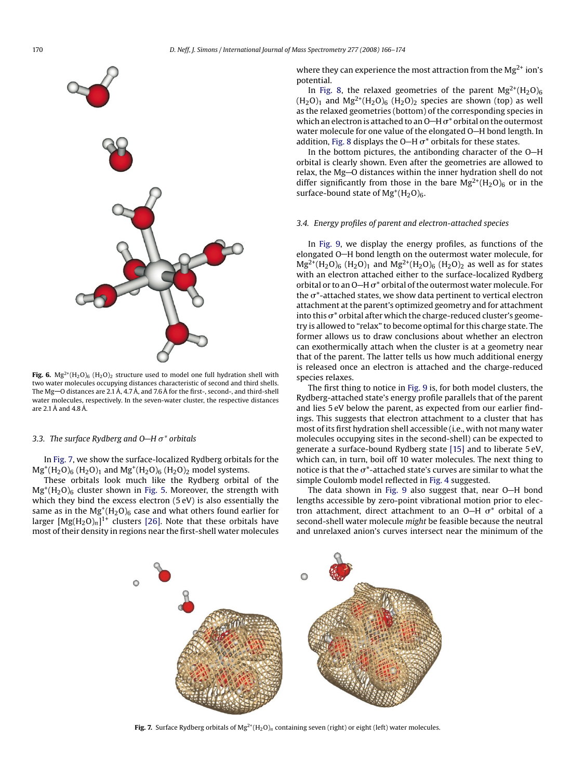<span id="page-4-0"></span>

**Fig. 6.**  $Mg^{2+}(H_2O)_{6}$  (H<sub>2</sub>O)<sub>2</sub> structure used to model one full hydration shell with two water molecules occupying distances characteristic of second and third shells. The Mg $-$ O distances are 2.1 Å, 4.7 Å, and 7.6 Å for the first-, second-, and third-shell water molecules, respectively. In the seven-water cluster, the respective distances are  $2.1\text{\AA}$  and  $4.8\text{\AA}$ 

#### *3.3. The surface Rydberg and O H* -*\* orbitals*

In Fig. 7, we show the surface-localized Rydberg orbitals for the  $Mg^+(H_2O)_6$  (H<sub>2</sub>O)<sub>1</sub> and  $Mg^+(H_2O)_6$  (H<sub>2</sub>O)<sub>2</sub> model systems.

These orbitals look much like the Rydberg orbital of the  $Mg^+(H_2O)_6$  cluster shown in [Fig. 5.](#page-3-0) Moreover, the strength with which they bind the excess electron (5 eV) is also essentially the same as in the  $Mg^+(H_2O)_6$  case and what others found earlier for larger  $[Mg(H_2O)_n]^{1+}$  clusters [\[26\].](#page-7-0) Note that these orbitals have most of their density in regions near the first-shell water molecules where they can experience the most attraction from the  $Mg^{2+}$  ion's potential.

In [Fig. 8,](#page-5-0) the relaxed geometries of the parent  $Mg^{2+}(H_2O)_6$  $(H<sub>2</sub>O)<sub>1</sub>$  and  $Mg<sup>2+</sup>(H<sub>2</sub>O)<sub>6</sub>$  (H<sub>2</sub>O)<sub>2</sub> species are shown (top) as well as the relaxed geometries (bottom) of the corresponding species in which an electron is attached to an O–H  $\sigma^*$  orbital on the outermost water molecule for one value of the elongated O-H bond length. In addition, [Fig. 8](#page-5-0) displays the O—H  $\sigma^*$  orbitals for these states.

In the bottom pictures, the antibonding character of the  $O-H$ orbital is clearly shown. Even after the geometries are allowed to relax, the Mg-O distances within the inner hydration shell do not differ significantly from those in the bare  $Mg^{2+}(H_2O)_6$  or in the surface-bound state of  $Mg^+(H_2O)_6$ .

#### *3.4. Energy profiles of parent and electron-attached species*

In [Fig. 9,](#page-6-0) we display the energy profiles, as functions of the elongated O-H bond length on the outermost water molecule, for  $Mg^{2+}(H_2O)_6$  (H<sub>2</sub>O)<sub>1</sub> and  $Mg^{2+}(H_2O)_6$  (H<sub>2</sub>O)<sub>2</sub> as well as for states with an electron attached either to the surface-localized Rydberg orbital or to an O–H  $\sigma^*$  orbital of the outermost water molecule. For the  $\sigma^*$ -attached states, we show data pertinent to vertical electron attachment at the parent's optimized geometry and for attachment into this  $\sigma^*$  orbital after which the charge-reduced cluster's geometry is allowed to "relax" to become optimal for this charge state. The former allows us to draw conclusions about whether an electron can exothermically attach when the cluster is at a geometry near that of the parent. The latter tells us how much additional energy is released once an electron is attached and the charge-reduced species relaxes.

The first thing to notice in [Fig. 9](#page-6-0) is, for both model clusters, the Rydberg-attached state's energy profile parallels that of the parent and lies 5 eV below the parent, as expected from our earlier findings. This suggests that electron attachment to a cluster that has most of its first hydration shell accessible (i.e., with not many water molecules occupying sites in the second-shell) can be expected to generate a surface-bound Rydberg state [\[15\]](#page-7-0) and to liberate 5 eV, which can, in turn, boil off 10 water molecules. The next thing to notice is that the  $\sigma^*$ -attached state's curves are similar to what the simple Coulomb model reflected in [Fig. 4](#page-2-0) suggested.

The data shown in [Fig. 9](#page-6-0) also suggest that, near O-H bond lengths accessible by zero-point vibrational motion prior to electron attachment, direct attachment to an O–H  $\sigma^*$  orbital of a second-shell water molecule *might* be feasible because the neutral and unrelaxed anion's curves intersect near the minimum of the



**Fig. 7.** Surface Rydberg orbitals of  $Mg^{2+}(H_2O)_n$  containing seven (right) or eight (left) water molecules.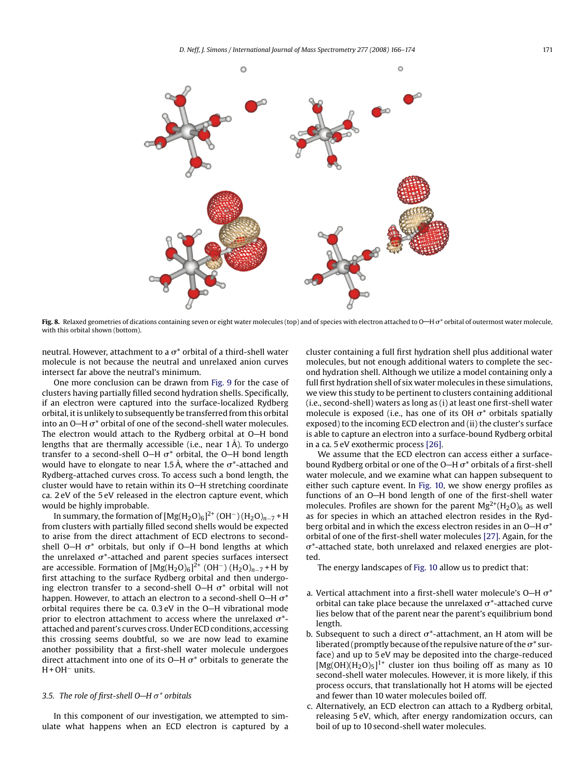<span id="page-5-0"></span>

**Fig. 8.** Relaxed geometries of dications containing seven or eight water molecules (top) and of species with electron attached to O—H  $\sigma^*$  orbital of outermost water molecule, with this orbital shown (bottom).

neutral. However, attachment to a  $\sigma^*$  orbital of a third-shell water molecule is not because the neutral and unrelaxed anion curves intersect far above the neutral's minimum.

One more conclusion can be drawn from [Fig. 9](#page-6-0) for the case of clusters having partially filled second hydration shells. Specifically, if an electron were captured into the surface-localized Rydberg orbital, it is unlikely to subsequently be transferred from this orbital into an O–H  $\sigma^*$  orbital of one of the second-shell water molecules. The electron would attach to the Rydberg orbital at  $O-H$  bond lengths that are thermally accessible (i.e., near  $1 \text{\AA}$ ). To undergo transfer to a second-shell O—H  $\sigma^*$  orbital, the O—H bond length would have to elongate to near 1.5 Å, where the  $\sigma^*$ -attached and Rydberg-attached curves cross. To access such a bond length, the cluster would have to retain within its O-H stretching coordinate ca. 2 eV of the 5 eV released in the electron capture event, which would be highly improbable.

In summary, the formation of  $[Mg(H_2O)_6]^2^+$  (OH<sup>-</sup>) (H<sub>2</sub>O)<sub>n−7</sub> + H from clusters with partially filled second shells would be expected to arise from the direct attachment of ECD electrons to secondshell O—H  $\sigma^*$  orbitals, but only if O—H bond lengths at which the unrelaxed  $\sigma^*$ -attached and parent species surfaces intersect are accessible. Formation of  $[Mg(H_2O)_6]^{2+}$  (OH<sup>-</sup>) (H<sub>2</sub>O)<sub>n−7</sub> + H by first attaching to the surface Rydberg orbital and then undergoing electron transfer to a second-shell O–H  $\sigma^*$  orbital will not happen. However, to attach an electron to a second-shell O—H  $\sigma^*$ orbital requires there be ca.  $0.3 \text{ eV}$  in the O-H vibrational mode prior to electron attachment to access where the unrelaxed  $\sigma^*$ attached and parent's curves cross. Under ECD conditions, accessing this crossing seems doubtful, so we are now lead to examine another possibility that a first-shell water molecule undergoes direct attachment into one of its O–H  $\sigma^*$  orbitals to generate the H + OH− units.

#### *3.5. The role of first-shell O H* -*\* orbitals*

In this component of our investigation, we attempted to simulate what happens when an ECD electron is captured by a cluster containing a full first hydration shell plus additional water molecules, but not enough additional waters to complete the second hydration shell. Although we utilize a model containing only a full first hydration shell of six water molecules in these simulations, we view this study to be pertinent to clusters containing additional (i.e., second-shell) waters as long as (i) at least one first-shell water molecule is exposed (i.e., has one of its OH  $\sigma^*$  orbitals spatially exposed) to the incoming ECD electron and (ii) the cluster's surface is able to capture an electron into a surface-bound Rydberg orbital in a ca. 5 eV exothermic process [\[26\].](#page-7-0)

We assume that the ECD electron can access either a surfacebound Rydberg orbital or one of the O–H  $\sigma^*$  orbitals of a first-shell water molecule, and we examine what can happen subsequent to either such capture event. In [Fig. 10,](#page-6-0) we show energy profiles as functions of an O-H bond length of one of the first-shell water molecules. Profiles are shown for the parent  $Mg^{2+}(H_2O)_6$  as well as for species in which an attached electron resides in the Rydberg orbital and in which the excess electron resides in an O–H  $\sigma^*$ orbital of one of the first-shell water molecules [\[27\]. A](#page-7-0)gain, for the  $\sigma^*$ -attached state, both unrelaxed and relaxed energies are plotted.

The energy landscapes of [Fig. 10](#page-6-0) allow us to predict that:

- a. Vertical attachment into a first-shell water molecule's O–H  $\sigma^*$ orbital can take place because the unrelaxed  $\sigma^*$ -attached curve lies below that of the parent near the parent's equilibrium bond length.
- b. Subsequent to such a direct  $\sigma^*$ -attachment, an H atom will be liberated (promptly because of the repulsive nature of the  $\sigma^*$  surface) and up to 5 eV may be deposited into the charge-reduced  $[Mg(OH)(H<sub>2</sub>O)<sub>5</sub>]$ <sup>1+</sup> cluster ion thus boiling off as many as 10 second-shell water molecules. However, it is more likely, if this process occurs, that translationally hot H atoms will be ejected and fewer than 10 water molecules boiled off.
- c. Alternatively, an ECD electron can attach to a Rydberg orbital, releasing 5 eV, which, after energy randomization occurs, can boil of up to 10 second-shell water molecules.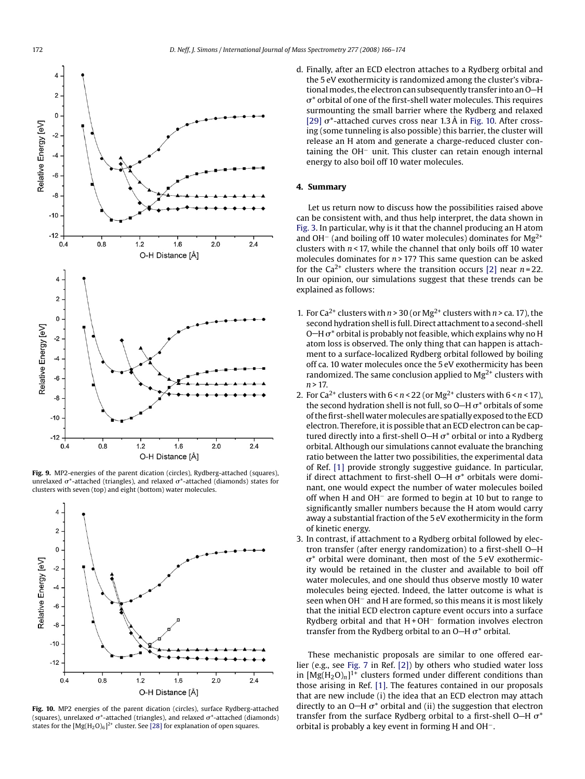<span id="page-6-0"></span>

**Fig. 9.** MP2-energies of the parent dication (circles), Rydberg-attached (squares), unrelaxed  $\sigma^*$ -attached (triangles), and relaxed  $\sigma^*$ -attached (diamonds) states for clusters with seven (top) and eight (bottom) water molecules.



**Fig. 10.** MP2 energies of the parent dication (circles), surface Rydberg-attached (squares), unrelaxed  $\sigma^*$ -attached (triangles), and relaxed  $\sigma^*$ -attached (diamonds) states for the  $[Mg(H_2O)_6]^{2+}$  cluster. See [\[28\]](#page-7-0) for explanation of open squares.

d. Finally, after an ECD electron attaches to a Rydberg orbital and the 5 eV exothermicity is randomized among the cluster's vibrational modes, the electron can subsequently transfer into an O-H  $\sigma^*$  orbital of one of the first-shell water molecules. This requires surmounting the small barrier where the Rydberg and relaxed [\[29\]](#page-8-0)  $\sigma^*$ -attached curves cross near 1.3 Å in Fig. 10. After crossing (some tunneling is also possible) this barrier, the cluster will release an H atom and generate a charge-reduced cluster containing the OH− unit. This cluster can retain enough internal energy to also boil off 10 water molecules.

#### **4. Summary**

Let us return now to discuss how the possibilities raised above can be consistent with, and thus help interpret, the data shown in [Fig. 3. I](#page-1-0)n particular, why is it that the channel producing an H atom and OH<sup>−</sup> (and boiling off 10 water molecules) dominates for Mg<sup>2+</sup> clusters with *n* < 17, while the channel that only boils off 10 water molecules dominates for  $n > 17$ ? This same question can be asked for the  $Ca^{2+}$  clusters where the transition occurs [\[2\]](#page-7-0) near  $n = 22$ . In our opinion, our simulations suggest that these trends can be explained as follows:

- 1. For Ca<sup>2+</sup> clusters with  $n > 30$  (or Mg<sup>2+</sup> clusters with  $n > c$ a. 17), the second hydration shell is full. Direct attachment to a second-shell O–H  $\sigma^*$  orbital is probably not feasible, which explains why no H atom loss is observed. The only thing that can happen is attachment to a surface-localized Rydberg orbital followed by boiling off ca. 10 water molecules once the 5 eV exothermicity has been randomized. The same conclusion applied to  $Mg^{2+}$  clusters with *n* > 17.
- 2. For  $Ca^{2+}$  clusters with  $6 < n < 22$  (or  $Mg^{2+}$  clusters with  $6 < n < 17$ ), the second hydration shell is not full, so O–H  $\sigma^*$  orbitals of some of the first-shell watermolecules are spatially exposed to the ECD electron. Therefore, it is possible that an ECD electron can be captured directly into a first-shell O—H  $\sigma^*$  orbital or into a Rydberg orbital. Although our simulations cannot evaluate the branching ratio between the latter two possibilities, the experimental data of Ref. [\[1\]](#page-7-0) provide strongly suggestive guidance. In particular, if direct attachment to first-shell O–H  $\sigma^*$  orbitals were dominant, one would expect the number of water molecules boiled off when H and OH− are formed to begin at 10 but to range to significantly smaller numbers because the H atom would carry away a substantial fraction of the 5 eV exothermicity in the form of kinetic energy.
- 3. In contrast, if attachment to a Rydberg orbital followed by electron transfer (after energy randomization) to a first-shell O-H  $\sigma^*$  orbital were dominant, then most of the 5 eV exothermicity would be retained in the cluster and available to boil off water molecules, and one should thus observe mostly 10 water molecules being ejected. Indeed, the latter outcome is what is seen when OH<sup>−</sup> and H are formed, so this means it is most likely that the initial ECD electron capture event occurs into a surface Rydberg orbital and that H + OH− formation involves electron transfer from the Rydberg orbital to an O–H  $\sigma^*$  orbital.

These mechanistic proposals are similar to one offered earlier (e.g., see [Fig. 7](#page-4-0) in Ref. [\[2\]\)](#page-7-0) by others who studied water loss in  $[Mg(H_2O)_n]$ <sup>1+</sup> clusters formed under different conditions than those arising in Ref. [\[1\]. T](#page-7-0)he features contained in our proposals that are new include (i) the idea that an ECD electron may attach directly to an O–H  $\sigma^*$  orbital and (ii) the suggestion that electron transfer from the surface Rydberg orbital to a first-shell O–H  $\sigma^*$ orbital is probably a key event in forming H and OH−.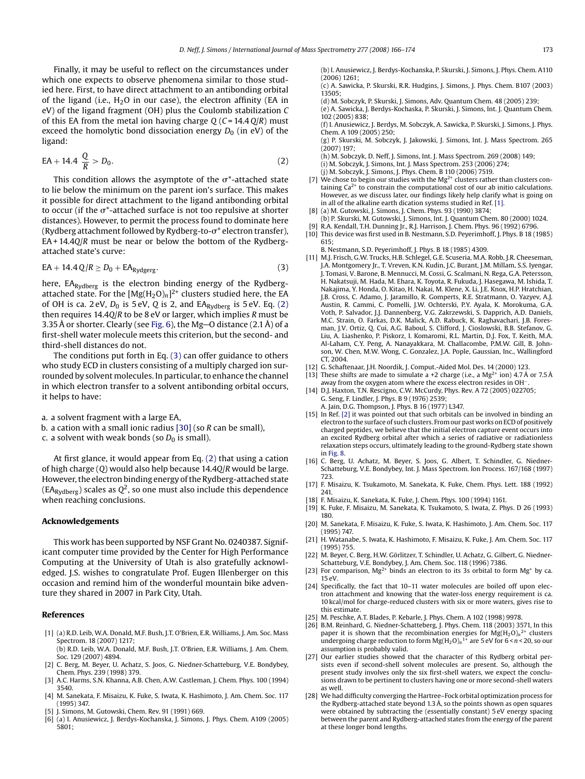<span id="page-7-0"></span>Finally, it may be useful to reflect on the circumstances under which one expects to observe phenomena similar to those studied here. First, to have direct attachment to an antibonding orbital of the ligand (i.e.,  $H_2O$  in our case), the electron affinity (EA in eV) of the ligand fragment (OH) plus the Coulomb stabilization *C* of this EA from the metal ion having charge *Q* (*C* = 14.4 *Q*/*R*) must exceed the homolytic bond dissociation energy  $D_0$  (in eV) of the ligand:

$$
EA + 14.4 \frac{Q}{R} > D_0.
$$
 (2)

This condition allows the asymptote of the  $\sigma^*$ -attached state to lie below the minimum on the parent ion's surface. This makes it possible for direct attachment to the ligand antibonding orbital to occur (if the  $\sigma^*$ -attached surface is not too repulsive at shorter distances). However, to permit the process found to dominate here (Rydberg attachment followed by Rydberg-to- $\sigma^*$  electron transfer), EA + 14.4*Q*/*R* must be near or below the bottom of the Rydbergattached state's curve:

$$
EA + 14.4 \, Q/R \ge D_0 + EA_{Rydgerg}.\tag{3}
$$

here, EA<sub>Rydberg</sub> is the electron binding energy of the Rydbergattached state. For the  $[Mg(H_2O)_n]^{2+}$  clusters studied here, the EA of OH is ca. 2 eV,  $D_0$  is 5 eV,  $\overline{Q}$  is 2, and EA<sub>Rydberg</sub> is 5 eV. Eq. (2) then requires 14.4*Q*/*R* to be 8 eV or larger, which implies *R* must be 3.35 Å or shorter. Clearly (see [Fig. 6\),](#page-4-0) the Mg-O distance  $(2.1 \text{ Å})$  of a first-shell water molecule meets this criterion, but the second- and third-shell distances do not.

The conditions put forth in Eq. (3) can offer guidance to others who study ECD in clusters consisting of a multiply charged ion surrounded by solvent molecules. In particular, to enhance the channel in which electron transfer to a solvent antibonding orbital occurs, it helps to have:

a. a solvent fragment with a large EA,

- b. a cation with a small ionic radius [\[30\]](#page-8-0) (so *R* can be small),
- c. a solvent with weak bonds (so  $D_0$  is small).

At first glance, it would appear from Eq. (2) that using a cation of high charge (*Q*) would also help because 14.4*Q*/*R* would be large. However, the electron binding energy of the Rydberg-attached state  $(EA<sub>Rvdberg</sub>)$  scales as  $Q<sup>2</sup>$ , so one must also include this dependence when reaching conclusions.

#### **Acknowledgements**

This work has been supported by NSF Grant No. 0240387. Significant computer time provided by the Center for High Performance Computing at the University of Utah is also gratefully acknowledged. J.S. wishes to congratulate Prof. Eugen Illenberger on this occasion and remind him of the wonderful mountain bike adventure they shared in 2007 in Park City, Utah.

#### **References**

- [1] (a) R.D. Leib, W.A. Donald, M.F. Bush, J.T. O'Brien, E.R. Williams, J. Am. Soc. Mass Spectrom. 18 (2007) 1217; (b) R.D. Leib, W.A. Donald, M.F. Bush, J.T. O'Brien, E.R. Williams, J. Am. Chem.
- Soc. 129 (2007) 4894. [2] C. Berg, M. Beyer, U. Achatz, S. Joos, G. Niedner-Schatteburg, V.E. Bondybey,
- Chem. Phys. 239 (1998) 379. [3] A.C. Harms, S.N. Khanna, A.B. Chen, A.W. Castleman, J. Chem. Phys. 100 (1994)
- 3540. [4] M. Sanekata, F. Misaizu, K. Fuke, S. Iwata, K. Hashimoto, J. Am. Chem. Soc. 117
- (1995) 347.
- [5] J. Simons, M. Gutowski, Chem. Rev. 91 (1991) 669.
- [6] (a) I. Anusiewicz, J. Berdys-Kochanska, J. Simons, J. Phys. Chem. A109 (2005) 5801;

(b) I. Anusiewicz, J. Berdys-Kochanska, P. Skurski, J. Simons, J. Phys. Chem. A110  $(2006)$  1261:

- (c) A. Sawicka, P. Skurski, R.R. Hudgins, J. Simons, J. Phys. Chem. B107 (2003) 13505;
- (d) M. Sobczyk, P. Skurski, J. Simons, Adv. Quantum Chem. 48 (2005) 239;
- (e) A. Sawicka, J. Berdys-Kochaska, P. Skurski, J. Simons, Int. J. Quantum Chem. 102 (2005) 838;
- (f) I. Anusiewicz, J. Berdys, M. Sobczyk, A. Sawicka, P. Skurski, J. Simons, J. Phys. Chem. A 109 (2005) 250;
- (g) P. Skurski, M. Sobczyk, J. Jakowski, J. Simons, Int. J. Mass Spectrom. 265 (2007) 197;
- (h) M. Sobczyk, D. Neff, J. Simons, Int. J. Mass Spectrom. 269 (2008) 149;
- (i) M. Sobczyk, J. Simons, Int. J. Mass Spectrom. 253 (2006) 274;
- (j) M. Sobczyk, J. Simons, J. Phys. Chem. B 110 (2006) 7519.
- [7] We chose to begin our studies with the Mg<sup>2+</sup> clusters rather than clusters containing  $Ca^{2+}$  to constrain the computational cost of our ab initio calculations. However, as we discuss later, our findings likely help clarify what is going on in all of the alkaline earth dication systems studied in Ref. [1].
- [8] (a) M. Gutowski, J. Simons, J. Chem. Phys. 93 (1990) 3874;
- (b) P. Skurski, M. Gutowski, J. Simons, Int. J. Quantum Chem. 80 (2000) 1024. [9] R.A. Kendall, T.H. Dunning Jr., R.J. Harrison, J. Chem. Phys. 96 (1992) 6796.
- [10] This device was first used in B. Nestmann, S.D. Peyerimhoff, J. Phys. B 18 (1985)  $615:$ 
	- B. Nestmann, S.D. Peyerimhoff, J. Phys. B 18 (1985) 4309.
- [11] M.J. Frisch, G.W. Trucks, H.B. Schlegel, G.E. Scuseria, M.A. Robb, J.R. Cheeseman, J.A. Montgomery Jr., T. Vreven, K.N. Kudin, J.C. Burant, J.M. Millam, S.S. Iyengar, J. Tomasi, V. Barone, B. Mennucci, M. Cossi, G. Scalmani, N. Rega, G.A. Petersson, H. Nakatsuji, M. Hada, M. Ehara, K. Toyota, R. Fukuda, J. Hasegawa, M. Ishida, T. Nakajima, Y. Honda, O. Kitao, H. Nakai, M. Klene, X. Li, J.E. Knox, H.P. Hratchian, J.B. Cross, C. Adamo, J. Jaramillo, R. Gomperts, R.E. Stratmann, O. Yazyev, A.J. Austin, R. Cammi, C. Pomelli, J.W. Ochterski, P.Y. Ayala, K. Morokuma, G.A. Voth, P. Salvador, J.J. Dannenberg, V.G. Zakrzewski, S. Dapprich, A.D. Daniels, M.C. Strain, O. Farkas, D.K. Malick, A.D. Rabuck, K. Raghavachari, J.B. Foresman, J.V. Ortiz, Q. Cui, A.G. Baboul, S. Clifford, J. Cioslowski, B.B. Stefanov, G. Liu, A. Liashenko, P. Piskorz, I. Komaromi, R.L. Martin, D.J. Fox, T. Keith, M.A. Al-Laham, C.Y. Peng, A. Nanayakkara, M. Challacombe, P.M.W. Gill, B. Johnson, W. Chen, M.W. Wong, C. Gonzalez, J.A. Pople, Gaussian, Inc., Wallingford CT, 2004.
- [12] G. Schaftenaar, J.H. Noordik, J. Comput.-Aided Mol. Des. 14 (2000) 123.
- [13] These shifts are made to simulate a +2 charge (i.e., a  $Mg^{2+}$  ion) 4.7 Å or 7.5 Å away from the oxygen atom where the excess electron resides in OH<sup>-</sup>
- [14] D.J. Haxton, T.N. Rescigno, C.W. McCurdy, Phys. Rev. A 72 (2005) 022705; G. Seng, F. Lindler, J. Phys. B 9 (1976) 2539;
	- A. Jain, D.G. Thompson, J. Phys. B 16 (1977) L347.
- [15] In Ref. [2] it was pointed out that such orbitals can be involved in binding an electron to the surface of such clusters. From our past works on ECD of positively charged peptides, we believe that the initial electron capture event occurs into an excited Rydberg orbital after which a series of radiative or radiationless relaxation steps occurs, ultimately leading to the ground-Rydberg state shown in [Fig. 8.](#page-5-0)
- [16] C. Berg, U. Achatz, M. Beyer, S. Joos, G. Albert, T. Schindler, G. Niedner-Schatteburg, V.E. Bondybey, Int. J. Mass Spectrom. Ion Process. 167/168 (1997) 723.
- [17] F. Misaizu, K. Tsukamoto, M. Sanekata, K. Fuke, Chem. Phys. Lett. 188 (1992) 241.
- [18] F. Misaizu, K. Sanekata, K. Fuke, J. Chem. Phys. 100 (1994) 1161.
- [19] K. Fuke, F. Misaizu, M. Sanekata, K. Tsukamoto, S. Iwata, Z. Phys. D 26 (1993) 180.
- [20] M. Sanekata, F. Misaizu, K. Fuke, S. Iwata, K. Hashimoto, J. Am. Chem. Soc. 117 (1995) 747.
- [21] H. Watanabe, S. Iwata, K. Hashimoto, F. Misaizu, K. Fuke, J. Am. Chem. Soc. 117 (1995) 755.
- [22] M. Beyer, C. Berg, H.W. Görlitzer, T. Schindler, U. Achatz, G. Gilbert, G. Niedner-Schatteburg, V.E. Bondybey, J. Am. Chem. Soc. 118 (1996) 7386.
- [23] For comparison,  $Mg^{2+}$  binds an electron to its 3s orbital to form  $Mg^+$  by ca. 15 eV.
- [24] Specifically, the fact that 10-11 water molecules are boiled off upon electron attachment and knowing that the water-loss energy requirement is ca. 10 kcal/mol for charge-reduced clusters with six or more waters, gives rise to this estimate.
- M. Peschke, A.T. Blades, P. Kebarle, J. Phys. Chem. A 102 (1998) 9978.
- [26] B.M. Reinhard, G. Niedner-Schatteberg, J. Phys. Chem. 118 (2003) 3571, In this paper it is shown that the recombination energies for  $Mg(H_2O)<sub>n</sub>$ <sup>2+</sup> clusters undergoing charge reduction to form  $Mg(H_2O)_n^{1+}$  are 5 eV for  $6 \le n \le 20$ , so our assumption is probably valid.
- [27] Our earlier studies showed that the character of this Rydberg orbital persists even if second-shell solvent molecules are present. So, although the present study involves only the six first-shell waters, we expect the conclusions drawn to be pertinent to clusters having one or more second-shell waters as well.
- [28] We had difficulty converging the Hartree–Fock orbital optimization process for the Rydberg-attached state beyond  $1.3 \text{ Å}$ , so the points shown as open squares were obtained by subtracting the (essentially constant) 5 eV energy spacing between the parent and Rydberg-attached states from the energy of the parent at these longer bond lengths.